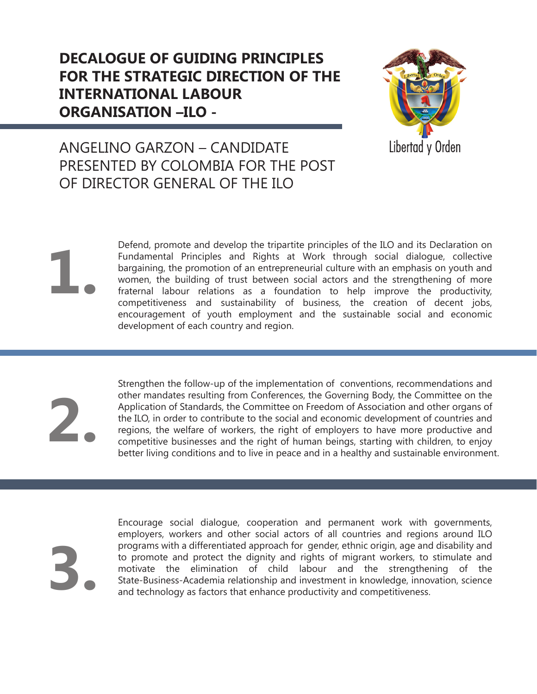

### ANGELINO GARZON – CANDIDATE PRESENTED BY COLOMBIA FOR THE POST OF DIRECTOR GENERAL OF THE ILO

Defend, promote and develop the tripartite principles of the ILO and its Declaration on Fundamental Principles and Rights at Work through social dialogue, collective bargaining, the promotion of an entrepreneurial culture with an emphasis on youth and women, the building of trust between social actors and the strengthening of more fraternal labour relations as a foundation to help improve the productivity, competitiveness and sustainability of business, the creation of decent jobs, encouragement of youth employment and the sustainable social and economic development of each country and region.

**2.**

**1.**

Strengthen the follow-up of the implementation of conventions, recommendations and other mandates resulting from Conferences, the Governing Body, the Committee on the Application of Standards, the Committee on Freedom of Association and other organs of the ILO, in order to contribute to the social and economic development of countries and regions, the welfare of workers, the right of employers to have more productive and competitive businesses and the right of human beings, starting with children, to enjoy better living conditions and to live in peace and in a healthy and sustainable environment.

**3.**

Encourage social dialogue, cooperation and permanent work with governments, employers, workers and other social actors of all countries and regions around ILO programs with a differentiated approach for gender, ethnic origin, age and disability and to promote and protect the dignity and rights of migrant workers, to stimulate and motivate the elimination of child labour and the strengthening of the State-Business-Academia relationship and investment in knowledge, innovation, science and technology as factors that enhance productivity and competitiveness.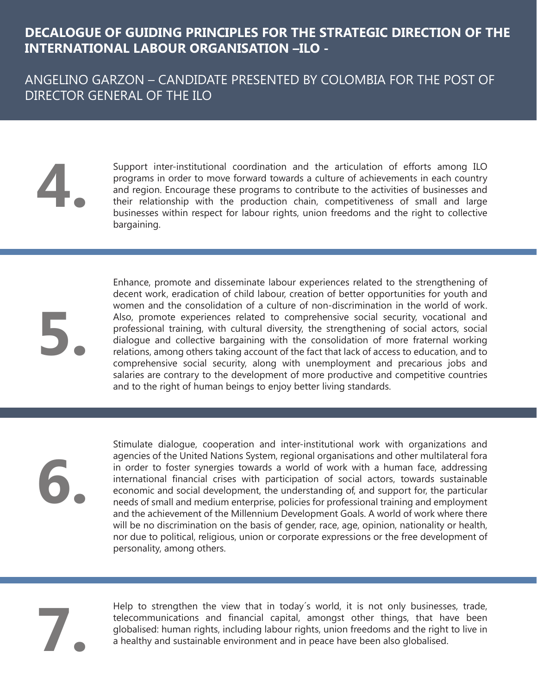ANGELINO GARZON – CANDIDATE PRESENTED BY COLOMBIA FOR THE POST OF DIRECTOR GENERAL OF THE ILO

# **4.**

Support inter-institutional coordination and the articulation of efforts among ILO programs in order to move forward towards a culture of achievements in each country and region. Encourage these programs to contribute to the activities of businesses and their relationship with the production chain, competitiveness of small and large businesses within respect for labour rights, union freedoms and the right to collective bargaining.

**5.**

Enhance, promote and disseminate labour experiences related to the strengthening of decent work, eradication of child labour, creation of better opportunities for youth and women and the consolidation of a culture of non-discrimination in the world of work. Also, promote experiences related to comprehensive social security, vocational and professional training, with cultural diversity, the strengthening of social actors, social dialogue and collective bargaining with the consolidation of more fraternal working relations, among others taking account of the fact that lack of access to education, and to comprehensive social security, along with unemployment and precarious jobs and salaries are contrary to the development of more productive and competitive countries and to the right of human beings to enjoy better living standards.

**6.**

Stimulate dialogue, cooperation and inter-institutional work with organizations and agencies of the United Nations System, regional organisations and other multilateral fora in order to foster synergies towards a world of work with a human face, addressing international financial crises with participation of social actors, towards sustainable economic and social development, the understanding of, and support for, the particular needs of small and medium enterprise, policies for professional training and employment and the achievement of the Millennium Development Goals. A world of work where there will be no discrimination on the basis of gender, race, age, opinion, nationality or health, nor due to political, religious, union or corporate expressions or the free development of personality, among others.

**7.**

Help to strengthen the view that in today´s world, it is not only businesses, trade, telecommunications and financial capital, amongst other things, that have been globalised: human rights, including labour rights, union freedoms and the right to live in a healthy and sustainable environment and in peace have been also globalised.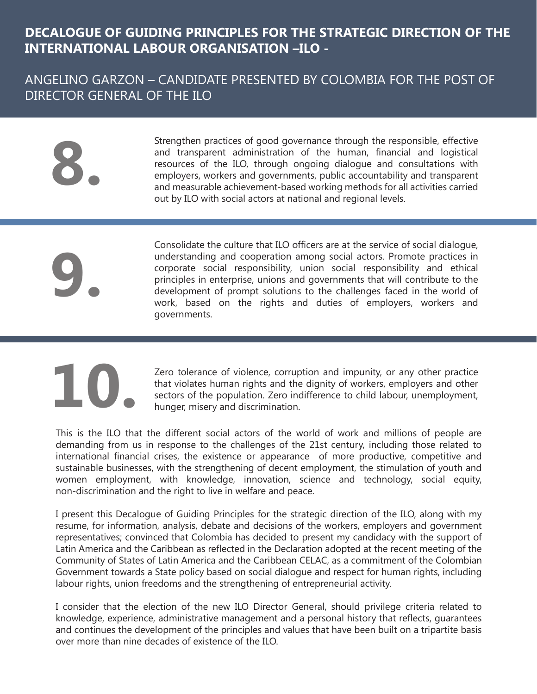#### ANGELINO GARZON – CANDIDATE PRESENTED BY COLOMBIA FOR THE POST OF DIRECTOR GENERAL OF THE ILO

**8.**

Strengthen practices of good governance through the responsible, effective and transparent administration of the human, financial and logistical resources of the ILO, through ongoing dialogue and consultations with employers, workers and governments, public accountability and transparent and measurable achievement-based working methods for all activities carried out by ILO with social actors at national and regional levels.

**9.**

Consolidate the culture that ILO officers are at the service of social dialogue, understanding and cooperation among social actors. Promote practices in corporate social responsibility, union social responsibility and ethical principles in enterprise, unions and governments that will contribute to the development of prompt solutions to the challenges faced in the world of work, based on the rights and duties of employers, workers and governments.

# **10.**

Zero tolerance of violence, corruption and impunity, or any other practice that violates human rights and the dignity of workers, employers and other sectors of the population. Zero indifference to child labour, unemployment, hunger, misery and discrimination.

This is the ILO that the different social actors of the world of work and millions of people are demanding from us in response to the challenges of the 21st century, including those related to international financial crises, the existence or appearance of more productive, competitive and sustainable businesses, with the strengthening of decent employment, the stimulation of youth and women employment, with knowledge, innovation, science and technology, social equity, non-discrimination and the right to live in welfare and peace.

I present this Decalogue of Guiding Principles for the strategic direction of the ILO, along with my resume, for information, analysis, debate and decisions of the workers, employers and government representatives; convinced that Colombia has decided to present my candidacy with the support of Latin America and the Caribbean as reflected in the Declaration adopted at the recent meeting of the Community of States of Latin America and the Caribbean CELAC, as a commitment of the Colombian Government towards a State policy based on social dialogue and respect for human rights, including labour rights, union freedoms and the strengthening of entrepreneurial activity.

I consider that the election of the new ILO Director General, should privilege criteria related to knowledge, experience, administrative management and a personal history that reflects, guarantees and continues the development of the principles and values that have been built on a tripartite basis over more than nine decades of existence of the ILO.